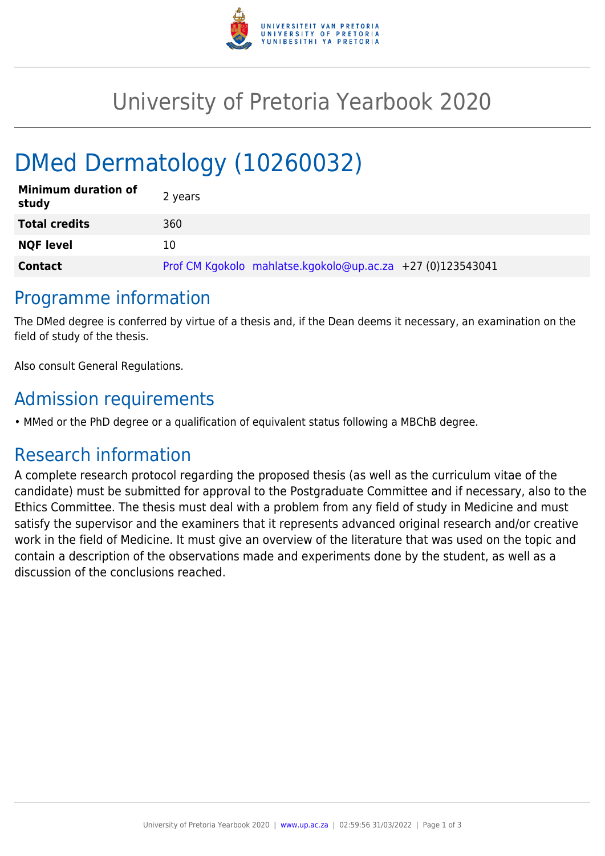

## University of Pretoria Yearbook 2020

# DMed Dermatology (10260032)

| <b>Minimum duration of</b><br>study | 2 years                                                    |
|-------------------------------------|------------------------------------------------------------|
| <b>Total credits</b>                | 360                                                        |
| <b>NQF level</b>                    | 10                                                         |
| <b>Contact</b>                      | Prof CM Kgokolo mahlatse.kgokolo@up.ac.za +27 (0)123543041 |

#### Programme information

The DMed degree is conferred by virtue of a thesis and, if the Dean deems it necessary, an examination on the field of study of the thesis.

Also consult General Regulations.

## Admission requirements

• MMed or the PhD degree or a qualification of equivalent status following a MBChB degree.

#### Research information

A complete research protocol regarding the proposed thesis (as well as the curriculum vitae of the candidate) must be submitted for approval to the Postgraduate Committee and if necessary, also to the Ethics Committee. The thesis must deal with a problem from any field of study in Medicine and must satisfy the supervisor and the examiners that it represents advanced original research and/or creative work in the field of Medicine. It must give an overview of the literature that was used on the topic and contain a description of the observations made and experiments done by the student, as well as a discussion of the conclusions reached.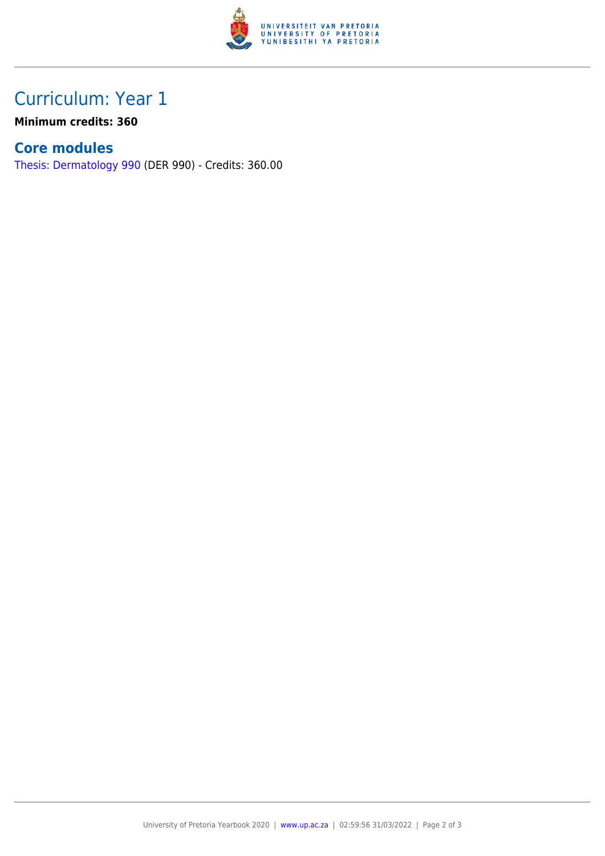

## Curriculum: Year 1

**Minimum credits: 360**

#### **Core modules**

[Thesis: Dermatology 990](https://www.up.ac.za/mechanical-and-aeronautical-engineering/yearbooks/2020/modules/view/DER 990) (DER 990) - Credits: 360.00